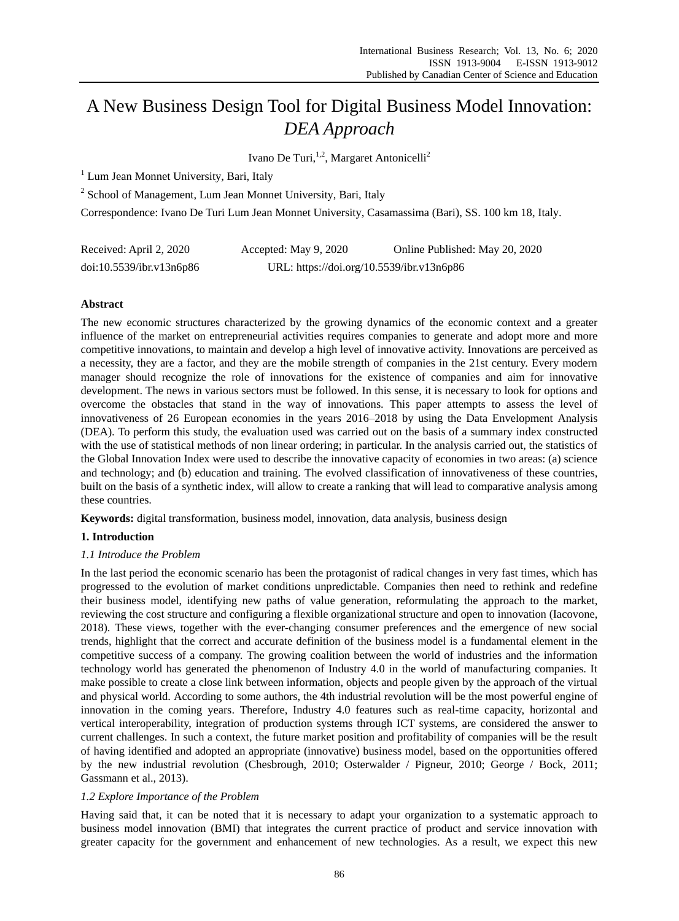# A New Business Design Tool for Digital Business Model Innovation: *DEA Approach*

Ivano De Turi,<sup>1,2</sup>, Margaret Antonicelli<sup>2</sup>

<sup>1</sup> Lum Jean Monnet University, Bari, Italy

<sup>2</sup> School of Management, Lum Jean Monnet University, Bari, Italy

Correspondence: Ivano De Turi Lum Jean Monnet University, Casamassima (Bari), SS. 100 km 18, Italy.

| Received: April 2, 2020  | Accepted: May 9, 2020                     | Online Published: May 20, 2020 |
|--------------------------|-------------------------------------------|--------------------------------|
| doi:10.5539/ibr.v13n6p86 | URL: https://doi.org/10.5539/ibr.v13n6p86 |                                |

# **Abstract**

The new economic structures characterized by the growing dynamics of the economic context and a greater influence of the market on entrepreneurial activities requires companies to generate and adopt more and more competitive innovations, to maintain and develop a high level of innovative activity. Innovations are perceived as a necessity, they are a factor, and they are the mobile strength of companies in the 21st century. Every modern manager should recognize the role of innovations for the existence of companies and aim for innovative development. The news in various sectors must be followed. In this sense, it is necessary to look for options and overcome the obstacles that stand in the way of innovations. This paper attempts to assess the level of innovativeness of 26 European economies in the years 2016–2018 by using the Data Envelopment Analysis (DEA). To perform this study, the evaluation used was carried out on the basis of a summary index constructed with the use of statistical methods of non linear ordering; in particular. In the analysis carried out, the statistics of the Global Innovation Index were used to describe the innovative capacity of economies in two areas: (a) science and technology; and (b) education and training. The evolved classification of innovativeness of these countries, built on the basis of a synthetic index, will allow to create a ranking that will lead to comparative analysis among these countries.

**Keywords:** digital transformation, business model, innovation, data analysis, business design

# **1. Introduction**

# *1.1 Introduce the Problem*

In the last period the economic scenario has been the protagonist of radical changes in very fast times, which has progressed to the evolution of market conditions unpredictable. Companies then need to rethink and redefine their business model, identifying new paths of value generation, reformulating the approach to the market, reviewing the cost structure and configuring a flexible organizational structure and open to innovation (Iacovone, 2018). These views, together with the ever-changing consumer preferences and the emergence of new social trends, highlight that the correct and accurate definition of the business model is a fundamental element in the competitive success of a company. The growing coalition between the world of industries and the information technology world has generated the phenomenon of Industry 4.0 in the world of manufacturing companies. It make possible to create a close link between information, objects and people given by the approach of the virtual and physical world. According to some authors, the 4th industrial revolution will be the most powerful engine of innovation in the coming years. Therefore, Industry 4.0 features such as real-time capacity, horizontal and vertical interoperability, integration of production systems through ICT systems, are considered the answer to current challenges. In such a context, the future market position and profitability of companies will be the result of having identified and adopted an appropriate (innovative) business model, based on the opportunities offered by the new industrial revolution (Chesbrough, 2010; Osterwalder / Pigneur, 2010; George / Bock, 2011; Gassmann et al., 2013).

# *1.2 Explore Importance of the Problem*

Having said that, it can be noted that it is necessary to adapt your organization to a systematic approach to business model innovation (BMI) that integrates the current practice of product and service innovation with greater capacity for the government and enhancement of new technologies. As a result, we expect this new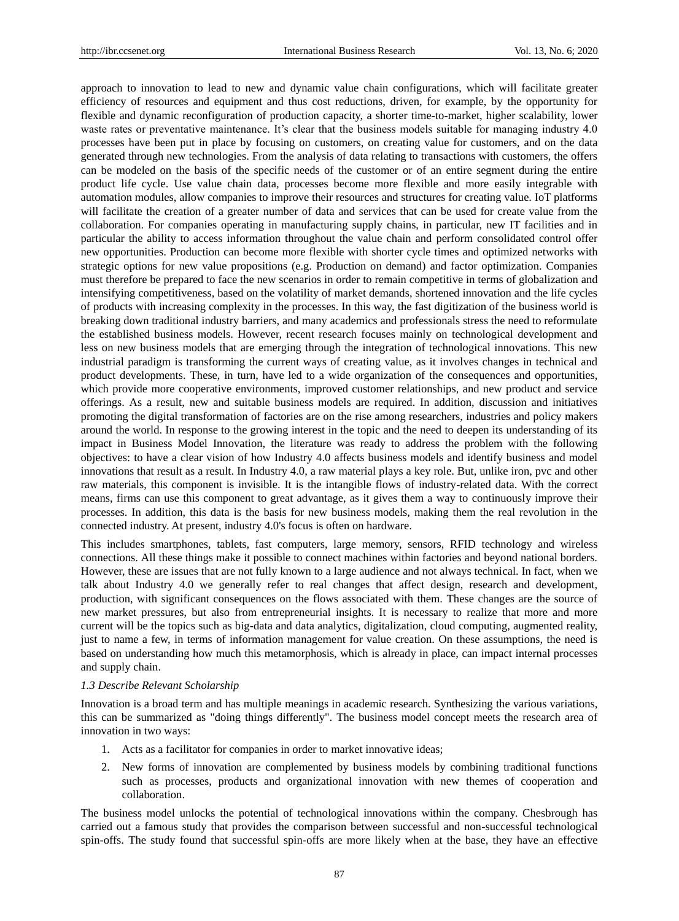approach to innovation to lead to new and dynamic value chain configurations, which will facilitate greater efficiency of resources and equipment and thus cost reductions, driven, for example, by the opportunity for flexible and dynamic reconfiguration of production capacity, a shorter time-to-market, higher scalability, lower waste rates or preventative maintenance. It's clear that the business models suitable for managing industry 4.0 processes have been put in place by focusing on customers, on creating value for customers, and on the data generated through new technologies. From the analysis of data relating to transactions with customers, the offers can be modeled on the basis of the specific needs of the customer or of an entire segment during the entire product life cycle. Use value chain data, processes become more flexible and more easily integrable with automation modules, allow companies to improve their resources and structures for creating value. IoT platforms will facilitate the creation of a greater number of data and services that can be used for create value from the collaboration. For companies operating in manufacturing supply chains, in particular, new IT facilities and in particular the ability to access information throughout the value chain and perform consolidated control offer new opportunities. Production can become more flexible with shorter cycle times and optimized networks with strategic options for new value propositions (e.g. Production on demand) and factor optimization. Companies must therefore be prepared to face the new scenarios in order to remain competitive in terms of globalization and intensifying competitiveness, based on the volatility of market demands, shortened innovation and the life cycles of products with increasing complexity in the processes. In this way, the fast digitization of the business world is breaking down traditional industry barriers, and many academics and professionals stress the need to reformulate the established business models. However, recent research focuses mainly on technological development and less on new business models that are emerging through the integration of technological innovations. This new industrial paradigm is transforming the current ways of creating value, as it involves changes in technical and product developments. These, in turn, have led to a wide organization of the consequences and opportunities, which provide more cooperative environments, improved customer relationships, and new product and service offerings. As a result, new and suitable business models are required. In addition, discussion and initiatives promoting the digital transformation of factories are on the rise among researchers, industries and policy makers around the world. In response to the growing interest in the topic and the need to deepen its understanding of its impact in Business Model Innovation, the literature was ready to address the problem with the following objectives: to have a clear vision of how Industry 4.0 affects business models and identify business and model innovations that result as a result. In Industry 4.0, a raw material plays a key role. But, unlike iron, pvc and other raw materials, this component is invisible. It is the intangible flows of industry-related data. With the correct means, firms can use this component to great advantage, as it gives them a way to continuously improve their processes. In addition, this data is the basis for new business models, making them the real revolution in the connected industry. At present, industry 4.0's focus is often on hardware.

This includes smartphones, tablets, fast computers, large memory, sensors, RFID technology and wireless connections. All these things make it possible to connect machines within factories and beyond national borders. However, these are issues that are not fully known to a large audience and not always technical. In fact, when we talk about Industry 4.0 we generally refer to real changes that affect design, research and development, production, with significant consequences on the flows associated with them. These changes are the source of new market pressures, but also from entrepreneurial insights. It is necessary to realize that more and more current will be the topics such as big-data and data analytics, digitalization, cloud computing, augmented reality, just to name a few, in terms of information management for value creation. On these assumptions, the need is based on understanding how much this metamorphosis, which is already in place, can impact internal processes and supply chain.

#### *1.3 Describe Relevant Scholarship*

Innovation is a broad term and has multiple meanings in academic research. Synthesizing the various variations, this can be summarized as "doing things differently". The business model concept meets the research area of innovation in two ways:

- 1. Acts as a facilitator for companies in order to market innovative ideas;
- 2. New forms of innovation are complemented by business models by combining traditional functions such as processes, products and organizational innovation with new themes of cooperation and collaboration.

The business model unlocks the potential of technological innovations within the company. Chesbrough has carried out a famous study that provides the comparison between successful and non-successful technological spin-offs. The study found that successful spin-offs are more likely when at the base, they have an effective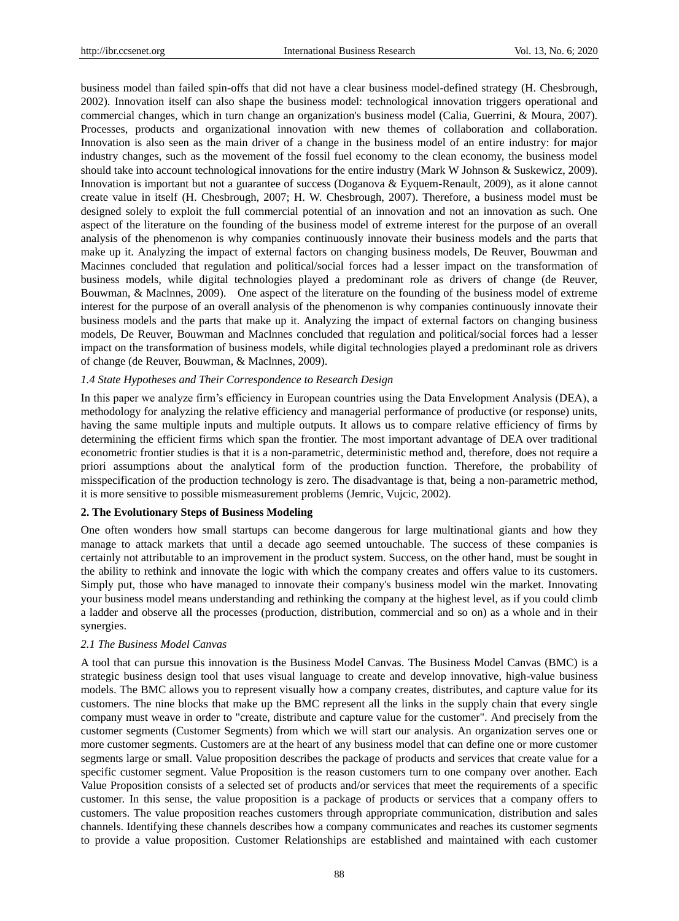business model than failed spin-offs that did not have a clear business model-defined strategy (H. Chesbrough, 2002). Innovation itself can also shape the business model: technological innovation triggers operational and commercial changes, which in turn change an organization's business model (Calia, Guerrini, & Moura, 2007). Processes, products and organizational innovation with new themes of collaboration and collaboration. Innovation is also seen as the main driver of a change in the business model of an entire industry: for major industry changes, such as the movement of the fossil fuel economy to the clean economy, the business model should take into account technological innovations for the entire industry (Mark W Johnson & Suskewicz, 2009). Innovation is important but not a guarantee of success (Doganova & Eyquem-Renault, 2009), as it alone cannot create value in itself (H. Chesbrough, 2007; H. W. Chesbrough, 2007). Therefore, a business model must be designed solely to exploit the full commercial potential of an innovation and not an innovation as such. One aspect of the literature on the founding of the business model of extreme interest for the purpose of an overall analysis of the phenomenon is why companies continuously innovate their business models and the parts that make up it. Analyzing the impact of external factors on changing business models, De Reuver, Bouwman and Macinnes concluded that regulation and political/social forces had a lesser impact on the transformation of business models, while digital technologies played a predominant role as drivers of change (de Reuver, Bouwman, & Maclnnes, 2009). One aspect of the literature on the founding of the business model of extreme interest for the purpose of an overall analysis of the phenomenon is why companies continuously innovate their business models and the parts that make up it. Analyzing the impact of external factors on changing business models, De Reuver, Bouwman and Maclnnes concluded that regulation and political/social forces had a lesser impact on the transformation of business models, while digital technologies played a predominant role as drivers of change (de Reuver, Bouwman, & Maclnnes, 2009).

#### *1.4 State Hypotheses and Their Correspondence to Research Design*

In this paper we analyze firm's efficiency in European countries using the Data Envelopment Analysis (DEA), a methodology for analyzing the relative efficiency and managerial performance of productive (or response) units, having the same multiple inputs and multiple outputs. It allows us to compare relative efficiency of firms by determining the efficient firms which span the frontier. The most important advantage of DEA over traditional econometric frontier studies is that it is a non-parametric, deterministic method and, therefore, does not require a priori assumptions about the analytical form of the production function. Therefore, the probability of misspecification of the production technology is zero. The disadvantage is that, being a non-parametric method, it is more sensitive to possible mismeasurement problems (Jemric, Vujcic, 2002).

#### **2. The Evolutionary Steps of Business Modeling**

One often wonders how small startups can become dangerous for large multinational giants and how they manage to attack markets that until a decade ago seemed untouchable. The success of these companies is certainly not attributable to an improvement in the product system. Success, on the other hand, must be sought in the ability to rethink and innovate the logic with which the company creates and offers value to its customers. Simply put, those who have managed to innovate their company's business model win the market. Innovating your business model means understanding and rethinking the company at the highest level, as if you could climb a ladder and observe all the processes (production, distribution, commercial and so on) as a whole and in their synergies.

#### *2.1 The Business Model Canvas*

A tool that can pursue this innovation is the Business Model Canvas. The Business Model Canvas (BMC) is a strategic business design tool that uses visual language to create and develop innovative, high-value business models. The BMC allows you to represent visually how a company creates, distributes, and capture value for its customers. The nine blocks that make up the BMC represent all the links in the supply chain that every single company must weave in order to "create, distribute and capture value for the customer". And precisely from the customer segments (Customer Segments) from which we will start our analysis. An organization serves one or more customer segments. Customers are at the heart of any business model that can define one or more customer segments large or small. Value proposition describes the package of products and services that create value for a specific customer segment. Value Proposition is the reason customers turn to one company over another. Each Value Proposition consists of a selected set of products and/or services that meet the requirements of a specific customer. In this sense, the value proposition is a package of products or services that a company offers to customers. The value proposition reaches customers through appropriate communication, distribution and sales channels. Identifying these channels describes how a company communicates and reaches its customer segments to provide a value proposition. Customer Relationships are established and maintained with each customer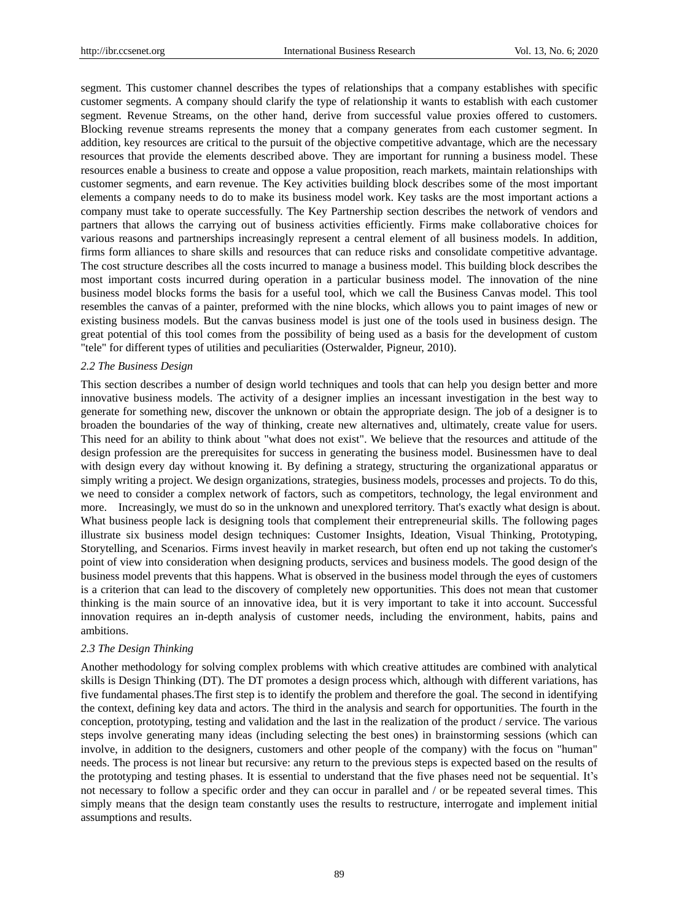segment. This customer channel describes the types of relationships that a company establishes with specific customer segments. A company should clarify the type of relationship it wants to establish with each customer segment. Revenue Streams, on the other hand, derive from successful value proxies offered to customers. Blocking revenue streams represents the money that a company generates from each customer segment. In addition, key resources are critical to the pursuit of the objective competitive advantage, which are the necessary resources that provide the elements described above. They are important for running a business model. These resources enable a business to create and oppose a value proposition, reach markets, maintain relationships with customer segments, and earn revenue. The Key activities building block describes some of the most important elements a company needs to do to make its business model work. Key tasks are the most important actions a company must take to operate successfully. The Key Partnership section describes the network of vendors and partners that allows the carrying out of business activities efficiently. Firms make collaborative choices for various reasons and partnerships increasingly represent a central element of all business models. In addition, firms form alliances to share skills and resources that can reduce risks and consolidate competitive advantage. The cost structure describes all the costs incurred to manage a business model. This building block describes the most important costs incurred during operation in a particular business model. The innovation of the nine business model blocks forms the basis for a useful tool, which we call the Business Canvas model. This tool resembles the canvas of a painter, preformed with the nine blocks, which allows you to paint images of new or existing business models. But the canvas business model is just one of the tools used in business design. The great potential of this tool comes from the possibility of being used as a basis for the development of custom "tele" for different types of utilities and peculiarities (Osterwalder, Pigneur, 2010).

#### *2.2 The Business Design*

This section describes a number of design world techniques and tools that can help you design better and more innovative business models. The activity of a designer implies an incessant investigation in the best way to generate for something new, discover the unknown or obtain the appropriate design. The job of a designer is to broaden the boundaries of the way of thinking, create new alternatives and, ultimately, create value for users. This need for an ability to think about "what does not exist". We believe that the resources and attitude of the design profession are the prerequisites for success in generating the business model. Businessmen have to deal with design every day without knowing it. By defining a strategy, structuring the organizational apparatus or simply writing a project. We design organizations, strategies, business models, processes and projects. To do this, we need to consider a complex network of factors, such as competitors, technology, the legal environment and more. Increasingly, we must do so in the unknown and unexplored territory. That's exactly what design is about. What business people lack is designing tools that complement their entrepreneurial skills. The following pages illustrate six business model design techniques: Customer Insights, Ideation, Visual Thinking, Prototyping, Storytelling, and Scenarios. Firms invest heavily in market research, but often end up not taking the customer's point of view into consideration when designing products, services and business models. The good design of the business model prevents that this happens. What is observed in the business model through the eyes of customers is a criterion that can lead to the discovery of completely new opportunities. This does not mean that customer thinking is the main source of an innovative idea, but it is very important to take it into account. Successful innovation requires an in-depth analysis of customer needs, including the environment, habits, pains and ambitions.

#### *2.3 The Design Thinking*

Another methodology for solving complex problems with which creative attitudes are combined with analytical skills is Design Thinking (DT). The DT promotes a design process which, although with different variations, has five fundamental phases.The first step is to identify the problem and therefore the goal. The second in identifying the context, defining key data and actors. The third in the analysis and search for opportunities. The fourth in the conception, prototyping, testing and validation and the last in the realization of the product / service. The various steps involve generating many ideas (including selecting the best ones) in brainstorming sessions (which can involve, in addition to the designers, customers and other people of the company) with the focus on "human" needs. The process is not linear but recursive: any return to the previous steps is expected based on the results of the prototyping and testing phases. It is essential to understand that the five phases need not be sequential. It's not necessary to follow a specific order and they can occur in parallel and / or be repeated several times. This simply means that the design team constantly uses the results to restructure, interrogate and implement initial assumptions and results.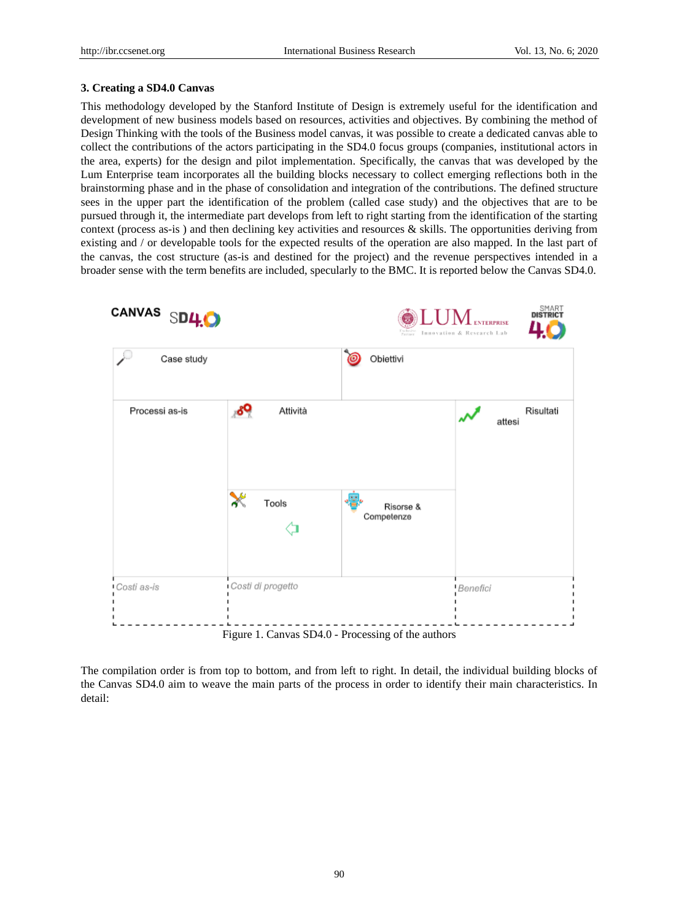#### **3. Creating a SD4.0 Canvas**

This methodology developed by the Stanford Institute of Design is extremely useful for the identification and development of new business models based on resources, activities and objectives. By combining the method of Design Thinking with the tools of the Business model canvas, it was possible to create a dedicated canvas able to collect the contributions of the actors participating in the SD4.0 focus groups (companies, institutional actors in the area, experts) for the design and pilot implementation. Specifically, the canvas that was developed by the Lum Enterprise team incorporates all the building blocks necessary to collect emerging reflections both in the brainstorming phase and in the phase of consolidation and integration of the contributions. The defined structure sees in the upper part the identification of the problem (called case study) and the objectives that are to be pursued through it, the intermediate part develops from left to right starting from the identification of the starting context (process as-is) and then declining key activities and resources  $\&$  skills. The opportunities deriving from existing and / or developable tools for the expected results of the operation are also mapped. In the last part of the canvas, the cost structure (as-is and destined for the project) and the revenue perspectives intended in a broader sense with the term benefits are included, specularly to the BMC. It is reported below the Canvas SD4.0.



The compilation order is from top to bottom, and from left to right. In detail, the individual building blocks of the Canvas SD4.0 aim to weave the main parts of the process in order to identify their main characteristics. In detail: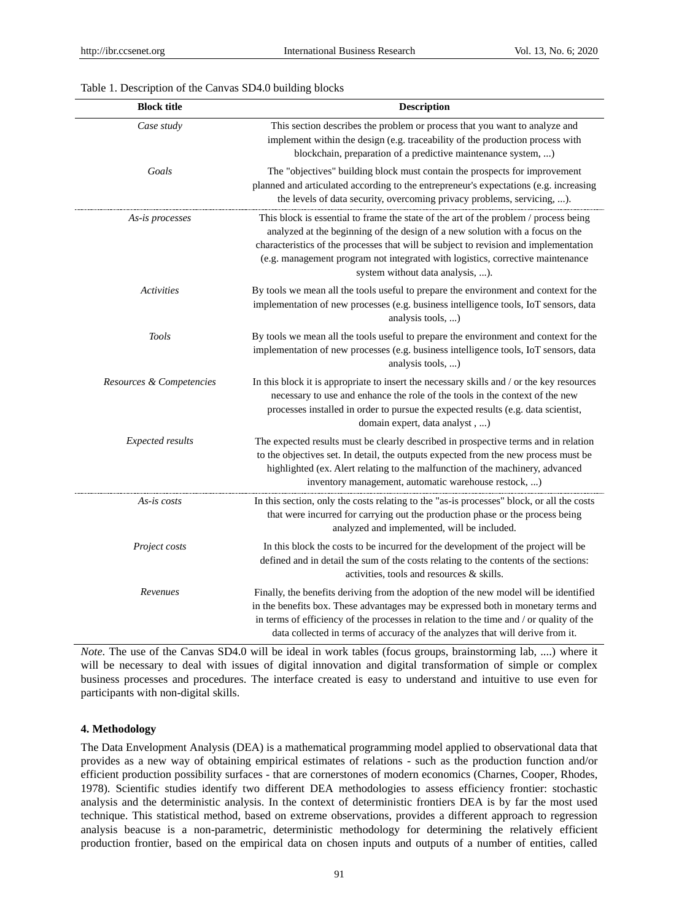| <b>Block title</b>       | <b>Description</b>                                                                                                                                                                                                                                                                                                                                                                  |
|--------------------------|-------------------------------------------------------------------------------------------------------------------------------------------------------------------------------------------------------------------------------------------------------------------------------------------------------------------------------------------------------------------------------------|
| Case study               | This section describes the problem or process that you want to analyze and<br>implement within the design (e.g. traceability of the production process with<br>blockchain, preparation of a predictive maintenance system, )                                                                                                                                                        |
| Goals                    | The "objectives" building block must contain the prospects for improvement<br>planned and articulated according to the entrepreneur's expectations (e.g. increasing<br>the levels of data security, overcoming privacy problems, servicing, ).                                                                                                                                      |
| As-is processes          | This block is essential to frame the state of the art of the problem / process being<br>analyzed at the beginning of the design of a new solution with a focus on the<br>characteristics of the processes that will be subject to revision and implementation<br>(e.g. management program not integrated with logistics, corrective maintenance<br>system without data analysis, ). |
| Activities               | By tools we mean all the tools useful to prepare the environment and context for the<br>implementation of new processes (e.g. business intelligence tools, IoT sensors, data<br>analysis tools, )                                                                                                                                                                                   |
| <b>Tools</b>             | By tools we mean all the tools useful to prepare the environment and context for the<br>implementation of new processes (e.g. business intelligence tools, IoT sensors, data<br>analysis tools, )                                                                                                                                                                                   |
| Resources & Competencies | In this block it is appropriate to insert the necessary skills and / or the key resources<br>necessary to use and enhance the role of the tools in the context of the new<br>processes installed in order to pursue the expected results (e.g. data scientist,<br>domain expert, data analyst, )                                                                                    |
| <b>Expected results</b>  | The expected results must be clearly described in prospective terms and in relation<br>to the objectives set. In detail, the outputs expected from the new process must be<br>highlighted (ex. Alert relating to the malfunction of the machinery, advanced<br>inventory management, automatic warehouse restock, )                                                                 |
| As-is costs              | In this section, only the costs relating to the "as-is processes" block, or all the costs<br>that were incurred for carrying out the production phase or the process being<br>analyzed and implemented, will be included.                                                                                                                                                           |
| Project costs            | In this block the costs to be incurred for the development of the project will be<br>defined and in detail the sum of the costs relating to the contents of the sections:<br>activities, tools and resources & skills.                                                                                                                                                              |
| Revenues                 | Finally, the benefits deriving from the adoption of the new model will be identified<br>in the benefits box. These advantages may be expressed both in monetary terms and<br>in terms of efficiency of the processes in relation to the time and / or quality of the<br>data collected in terms of accuracy of the analyzes that will derive from it.                               |

#### Table 1. Description of the Canvas SD4.0 building blocks

*Note*. The use of the Canvas SD4.0 will be ideal in work tables (focus groups, brainstorming lab, ....) where it will be necessary to deal with issues of digital innovation and digital transformation of simple or complex business processes and procedures. The interface created is easy to understand and intuitive to use even for participants with non-digital skills.

# **4. Methodology**

The Data Envelopment Analysis (DEA) is a mathematical programming model applied to observational data that provides as a new way of obtaining empirical estimates of relations - such as the production function and/or efficient production possibility surfaces - that are cornerstones of modern economics (Charnes, Cooper, Rhodes, 1978). Scientific studies identify two different DEA methodologies to assess efficiency frontier: stochastic analysis and the deterministic analysis. In the context of deterministic frontiers DEA is by far the most used technique. This statistical method, based on extreme observations, provides a different approach to regression analysis beacuse is a non-parametric, deterministic methodology for determining the relatively efficient production frontier, based on the empirical data on chosen inputs and outputs of a number of entities, called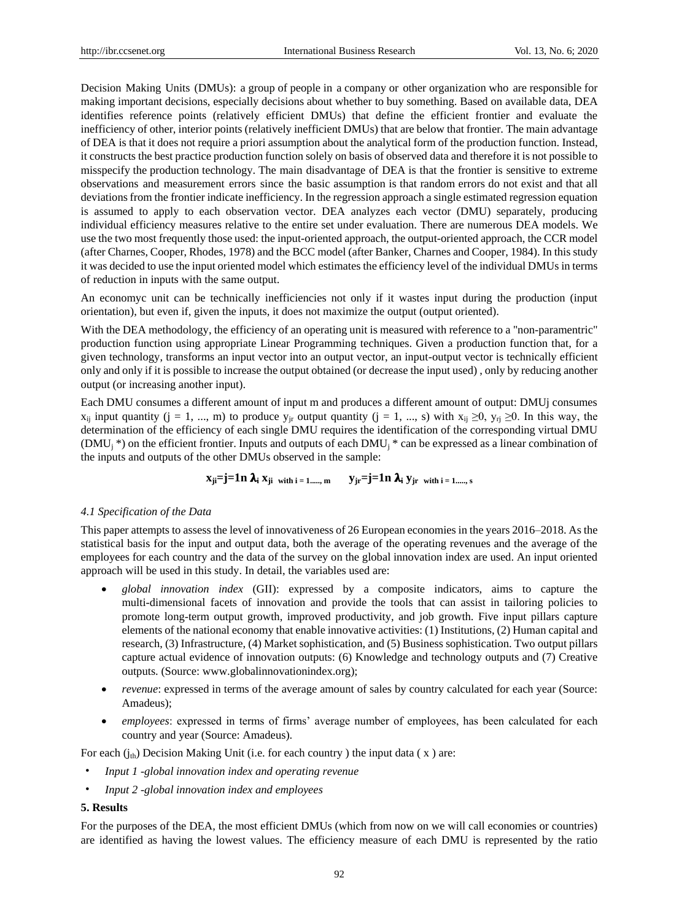Decision Making Units (DMUs): a [group](https://dictionary.cambridge.org/it/dizionario/inglese/group) of [people](https://dictionary.cambridge.org/it/dizionario/inglese/people) in a [company](https://dictionary.cambridge.org/it/dizionario/inglese/company) or other [organization](https://dictionary.cambridge.org/it/dizionario/inglese/organization) who are [responsible](https://dictionary.cambridge.org/it/dizionario/inglese/responsible) for making [important](https://dictionary.cambridge.org/it/dizionario/inglese/important) [decisions,](https://dictionary.cambridge.org/it/dizionario/inglese/decision) [especially](https://dictionary.cambridge.org/it/dizionario/inglese/especially) [decisions](https://dictionary.cambridge.org/it/dizionario/inglese/decision) about whether to [buy](https://dictionary.cambridge.org/it/dizionario/inglese/buy) something. Based on available data, DEA identifies reference points (relatively efficient DMUs) that define the efficient frontier and evaluate the inefficiency of other, interior points (relatively inefficient DMUs) that are below that frontier. The main advantage of DEA is that it does not require a priori assumption about the analytical form of the production function. Instead, it constructs the best practice production function solely on basis of observed data and therefore it is not possible to misspecify the production technology. The main disadvantage of DEA is that the frontier is sensitive to extreme observations and measurement errors since the basic assumption is that random errors do not exist and that all deviations from the frontier indicate inefficiency. In the regression approach a single estimated regression equation is assumed to apply to each observation vector. DEA analyzes each vector (DMU) separately, producing individual efficiency measures relative to the entire set under evaluation. There are numerous DEA models. We use the two most frequently those used: the input-oriented approach, the output-oriented approach, the CCR model (after Charnes, Cooper, Rhodes, 1978) and the BCC model (after Banker, Charnes and Cooper, 1984). In this study it was decided to use the input oriented model which estimates the efficiency level of the individual DMUs in terms of reduction in inputs with the same output.

An economyc unit can be technically inefficiencies not only if it wastes input during the production (input orientation), but even if, given the inputs, it does not maximize the output (output oriented).

With the DEA methodology, the efficiency of an operating unit is measured with reference to a "non-paramentric" production function using appropriate Linear Programming techniques. Given a production function that, for a given technology, transforms an input vector into an output vector, an input-output vector is technically efficient only and only if it is possible to increase the output obtained (or decrease the input used) , only by reducing another output (or increasing another input).

Each DMU consumes a different amount of input m and produces a different amount of output: DMUj consumes  $x_{ij}$  input quantity (j = 1, ..., m) to produce  $y_{jr}$  output quantity (j = 1, ..., s) with  $x_{ij} \ge 0$ ,  $y_{ri} \ge 0$ . In this way, the determination of the efficiency of each single DMU requires the identification of the corresponding virtual DMU (DMU<sub>i</sub> \*) on the efficient frontier. Inputs and outputs of each DMU<sub>i</sub> \* can be expressed as a linear combination of the inputs and outputs of the other DMUs observed in the sample:

**x**<sub>ji</sub>=**j**=1n  $\lambda_i$  **x**<sub>ji</sub> with i = 1....., m  $y_{j}$ **r**=**j**=1n  $\lambda_i$   $y_{j}$ **r** with i = 1....., s

#### *4.1 Specification of the Data*

This paper attempts to assess the level of innovativeness of 26 European economies in the years 2016–2018. As the statistical basis for the input and output data, both the average of the operating revenues and the average of the employees for each country and the data of the survey on the global innovation index are used. An input oriented approach will be used in this study. In detail, the variables used are:

- *global innovation index* (GII): expressed by a composite indicators, aims to capture the multi-dimensional facets of innovation and provide the tools that can assist in tailoring policies to promote long-term output growth, improved productivity, and job growth. Five input pillars capture elements of the national economy that enable innovative activities: (1) Institutions, (2) Human capital and research, (3) Infrastructure, (4) Market sophistication, and (5) Business sophistication. Two output pillars capture actual evidence of innovation outputs: (6) Knowledge and technology outputs and (7) Creative outputs. (Source: www.globalinnovationindex.org);
- *revenue*: expressed in terms of the average amount of sales by country calculated for each year (Source: Amadeus);
- *employees*: expressed in terms of firms' average number of employees, has been calculated for each country and year (Source: Amadeus).

For each  $(j_{th})$  Decision Making Unit (i.e. for each country ) the input data ( $x$ ) are:

- *Input 1 -global innovation index and operating revenue*
- *Input 2 -global innovation index and employees*

# **5. Results**

For the purposes of the DEA, the most efficient DMUs (which from now on we will call economies or countries) are identified as having the lowest values. The efficiency measure of each DMU is represented by the ratio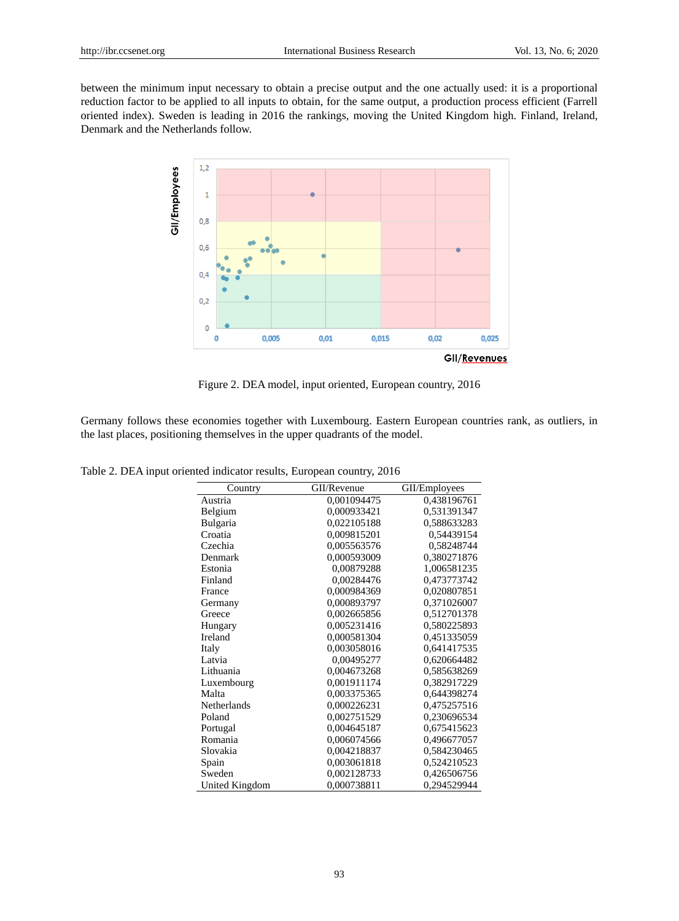between the minimum input necessary to obtain a precise output and the one actually used: it is a proportional reduction factor to be applied to all inputs to obtain, for the same output, a production process efficient (Farrell oriented index). Sweden is leading in 2016 the rankings, moving the United Kingdom high. Finland, Ireland, Denmark and the Netherlands follow.



Figure 2. DEA model, input oriented, European country, 2016

Germany follows these economies together with Luxembourg. Eastern European countries rank, as outliers, in the last places, positioning themselves in the upper quadrants of the model.

| Country        | GII/Revenue | GII/Employees |
|----------------|-------------|---------------|
| Austria        | 0,001094475 | 0,438196761   |
| Belgium        | 0,000933421 | 0,531391347   |
| Bulgaria       | 0,022105188 | 0,588633283   |
| Croatia        | 0,009815201 | 0,54439154    |
| Czechia        | 0,005563576 | 0,58248744    |
| Denmark        | 0,000593009 | 0,380271876   |
| Estonia        | 0,00879288  | 1,006581235   |
| Finland        | 0,00284476  | 0,473773742   |
| France         | 0,000984369 | 0,020807851   |
| Germany        | 0,000893797 | 0,371026007   |
| Greece         | 0,002665856 | 0,512701378   |
| Hungary        | 0,005231416 | 0,580225893   |
| Ireland        | 0,000581304 | 0,451335059   |
| Italy          | 0,003058016 | 0,641417535   |
| Latvia         | 0,00495277  | 0,620664482   |
| Lithuania      | 0,004673268 | 0,585638269   |
| Luxembourg     | 0,001911174 | 0,382917229   |
| Malta          | 0,003375365 | 0,644398274   |
| Netherlands    | 0,000226231 | 0,475257516   |
| Poland         | 0,002751529 | 0,230696534   |
| Portugal       | 0,004645187 | 0,675415623   |
| Romania        | 0,006074566 | 0,496677057   |
| Slovakia       | 0,004218837 | 0,584230465   |
| Spain          | 0,003061818 | 0,524210523   |
| Sweden         | 0,002128733 | 0,426506756   |
| United Kingdom | 0,000738811 | 0,294529944   |

Table 2. DEA input oriented indicator results, European country, 2016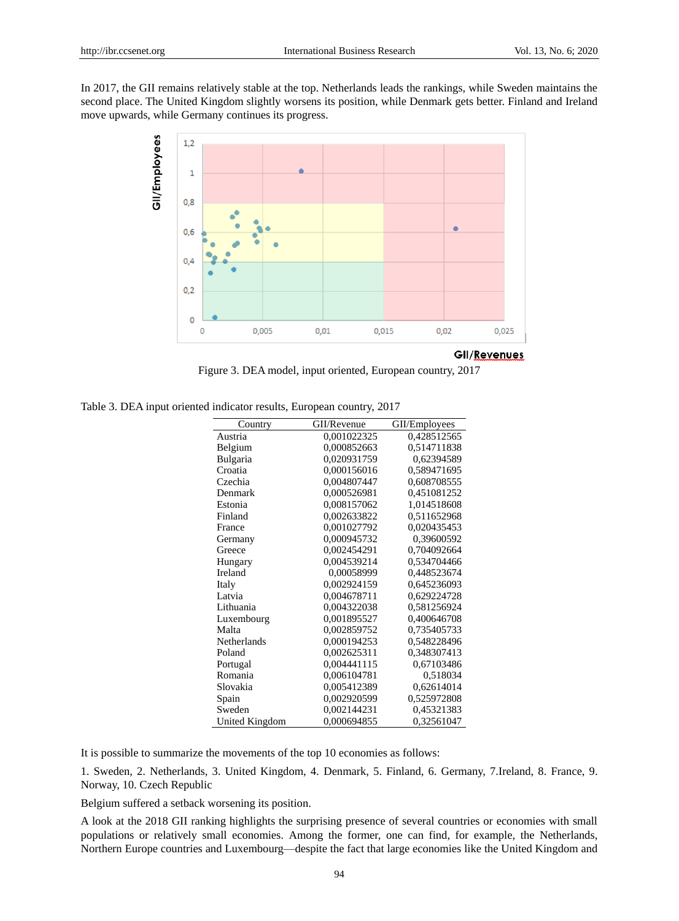In 2017, the GII remains relatively stable at the top. Netherlands leads the rankings, while Sweden maintains the second place. The United Kingdom slightly worsens its position, while Denmark gets better. Finland and Ireland move upwards, while Germany continues its progress.



Figure 3. DEA model, input oriented, European country, 2017

Table 3. DEA input oriented indicator results, European country, 2017

| Country        | GII/Revenue | GII/Employees |
|----------------|-------------|---------------|
| Austria        | 0,001022325 | 0,428512565   |
| Belgium        | 0,000852663 | 0,514711838   |
| Bulgaria       | 0,020931759 | 0,62394589    |
| Croatia        | 0,000156016 | 0,589471695   |
| Czechia        | 0,004807447 | 0,608708555   |
| Denmark        | 0,000526981 | 0,451081252   |
| Estonia        | 0,008157062 | 1,014518608   |
| Finland        | 0,002633822 | 0,511652968   |
| France         | 0,001027792 | 0,020435453   |
| Germany        | 0,000945732 | 0,39600592    |
| Greece         | 0,002454291 | 0,704092664   |
| Hungary        | 0,004539214 | 0,534704466   |
| Ireland        | 0,00058999  | 0,448523674   |
| Italy          | 0,002924159 | 0,645236093   |
| Latvia         | 0,004678711 | 0,629224728   |
| Lithuania      | 0,004322038 | 0,581256924   |
| Luxembourg     | 0,001895527 | 0,400646708   |
| Malta          | 0,002859752 | 0,735405733   |
| Netherlands    | 0,000194253 | 0,548228496   |
| Poland         | 0,002625311 | 0,348307413   |
| Portugal       | 0,004441115 | 0,67103486    |
| Romania        | 0,006104781 | 0,518034      |
| Slovakia       | 0,005412389 | 0,62614014    |
| Spain          | 0,002920599 | 0,525972808   |
| Sweden         | 0,002144231 | 0,45321383    |
| United Kingdom | 0,000694855 | 0,32561047    |

It is possible to summarize the movements of the top 10 economies as follows:

1. Sweden, 2. Netherlands, 3. United Kingdom, 4. Denmark, 5. Finland, 6. Germany, 7.Ireland, 8. France, 9. Norway, 10. Czech Republic

Belgium suffered a setback worsening its position.

A look at the 2018 GII ranking highlights the surprising presence of several countries or economies with small populations or relatively small economies. Among the former, one can find, for example, the Netherlands, Northern Europe countries and Luxembourg—despite the fact that large economies like the United Kingdom and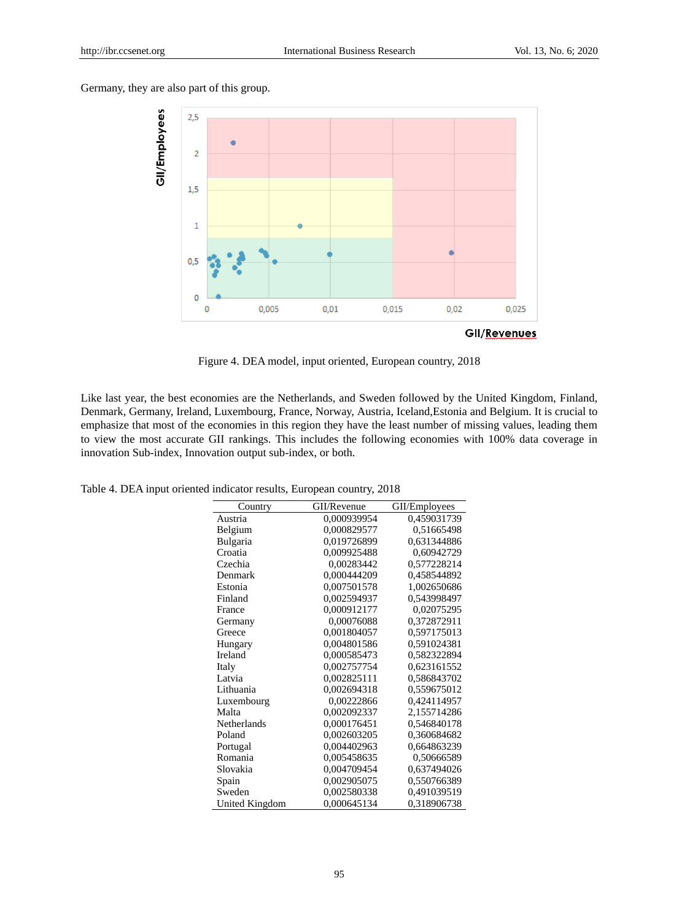Germany, they are also part of this group.



Figure 4. DEA model, input oriented, European country, 2018

Like last year, the best economies are the Netherlands, and Sweden followed by the United Kingdom, Finland, Denmark, Germany, Ireland, Luxembourg, France, Norway, Austria, Iceland,Estonia and Belgium. It is crucial to emphasize that most of the economies in this region they have the least number of missing values, leading them to view the most accurate GII rankings. This includes the following economies with 100% data coverage in innovation Sub-index, Innovation output sub-index, or both.

| Country        | GII/Revenue | GII/Employees |
|----------------|-------------|---------------|
| Austria        | 0,000939954 | 0,459031739   |
| Belgium        | 0,000829577 | 0,51665498    |
| Bulgaria       | 0,019726899 | 0,631344886   |
| Croatia        | 0,009925488 | 0,60942729    |
| Czechia        | 0,00283442  | 0,577228214   |
| Denmark        | 0,000444209 | 0,458544892   |
| Estonia        | 0,007501578 | 1,002650686   |
| Finland        | 0,002594937 | 0,543998497   |
| France         | 0,000912177 | 0,02075295    |
| Germany        | 0,00076088  | 0,372872911   |
| Greece         | 0,001804057 | 0,597175013   |
| Hungary        | 0,004801586 | 0,591024381   |
| Ireland        | 0,000585473 | 0,582322894   |
| Italy          | 0,002757754 | 0,623161552   |
| Latvia         | 0,002825111 | 0,586843702   |
| Lithuania      | 0,002694318 | 0,559675012   |
| Luxembourg     | 0,00222866  | 0,424114957   |
| Malta          | 0,002092337 | 2,155714286   |
| Netherlands    | 0,000176451 | 0,546840178   |
| Poland         | 0,002603205 | 0,360684682   |
| Portugal       | 0,004402963 | 0,664863239   |
| Romania        | 0,005458635 | 0,50666589    |
| Slovakia       | 0,004709454 | 0,637494026   |
| Spain          | 0,002905075 | 0,550766389   |
| Sweden         | 0,002580338 | 0,491039519   |
| United Kingdom | 0,000645134 | 0,318906738   |

Table 4. DEA input oriented indicator results, European country, 2018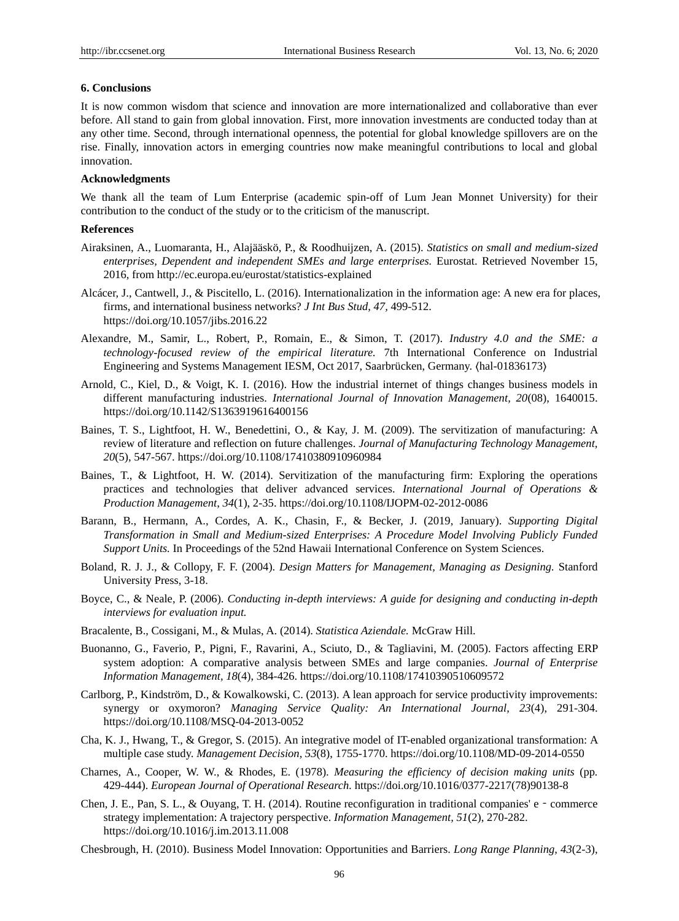#### **6. Conclusions**

It is now common wisdom that science and innovation are more internationalized and collaborative than ever before. All stand to gain from global innovation. First, more innovation investments are conducted today than at any other time. Second, through international openness, the potential for global knowledge spillovers are on the rise. Finally, innovation actors in emerging countries now make meaningful contributions to local and global innovation.

# **Acknowledgments**

We thank all the team of Lum Enterprise (academic spin-off of Lum Jean Monnet University) for their contribution to the conduct of the study or to the criticism of the manuscript.

#### **References**

- Airaksinen, A., Luomaranta, H., Alajääskö, P., & Roodhuijzen, A. (2015). *Statistics on small and medium-sized enterprises, Dependent and independent SMEs and large enterprises.* Eurostat. Retrieved November 15, 2016, from http://ec.europa.eu/eurostat/statistics-explained
- Alcácer, J., Cantwell, J., & Piscitello, L. (2016). Internationalization in the information age: A new era for places, firms, and international business networks? *J Int Bus Stud, 47,* 499-512. <https://doi.org/10.1057/jibs.2016.22>
- Alexandre, M., Samir, L., Robert, P., Romain, E., & Simon, T. (2017). *Industry 4.0 and the SME: a technology-focused review of the empirical literature.* 7th International Conference on Industrial Engineering and Systems Management IESM, Oct 2017, Saarbrücken, Germany. ⟨hal-01836173⟩
- Arnold, C., Kiel, D., & Voigt, K. I. (2016). How the industrial internet of things changes business models in different manufacturing industries. *International Journal of Innovation Management, 20*(08), 1640015. <https://doi.org/10.1142/S1363919616400156>
- Baines, T. S., Lightfoot, H. W., Benedettini, O., & Kay, J. M. (2009). The servitization of manufacturing: A review of literature and reflection on future challenges. *Journal of Manufacturing Technology Management, 20*(5), 547-567.<https://doi.org/10.1108/17410380910960984>
- Baines, T., & Lightfoot, H. W. (2014). Servitization of the manufacturing firm: Exploring the operations practices and technologies that deliver advanced services. *International Journal of Operations & Production Management, 34*(1), 2-35.<https://doi.org/10.1108/IJOPM-02-2012-0086>
- Barann, B., Hermann, A., Cordes, A. K., Chasin, F., & Becker, J. (2019, January). *Supporting Digital Transformation in Small and Medium-sized Enterprises: A Procedure Model Involving Publicly Funded Support Units.* In Proceedings of the 52nd Hawaii International Conference on System Sciences.
- Boland, R. J. J., & Collopy, F. F. (2004). *Design Matters for Management, Managing as Designing.* Stanford University Press, 3-18.
- Boyce, C., & Neale, P. (2006). *Conducting in-depth interviews: A guide for designing and conducting in-depth interviews for evaluation input.*
- Bracalente, B., Cossigani, M., & Mulas, A. (2014). *Statistica Aziendale.* McGraw Hill.
- Buonanno, G., Faverio, P., Pigni, F., Ravarini, A., Sciuto, D., & Tagliavini, M. (2005). Factors affecting ERP system adoption: A comparative analysis between SMEs and large companies. *Journal of Enterprise Information Management, 18*(4), 384-426.<https://doi.org/10.1108/17410390510609572>
- Carlborg, P., Kindström, D., & Kowalkowski, C. (2013). A lean approach for service productivity improvements: synergy or oxymoron? *Managing Service Quality: An International Journal, 23*(4), 291-304. <https://doi.org/10.1108/MSQ-04-2013-0052>
- Cha, K. J., Hwang, T., & Gregor, S. (2015). An integrative model of IT-enabled organizational transformation: A multiple case study. *Management Decision, 53*(8), 1755-1770[. https://doi.org/10.1108/MD-09-2014-0550](https://doi.org/10.1108/MD-09-2014-0550)
- Charnes, A., Cooper, W. W., & Rhodes, E. (1978). *Measuring the efficiency of decision making units* (pp*.* 429-444). *European Journal of Operational Research.* https://doi.org/10.1016/0377-2217(78)90138-8
- Chen, J. E., Pan, S. L., & Ouyang, T. H. (2014). Routine reconfiguration in traditional companies' e‐commerce strategy implementation: A trajectory perspective. *Information Management, 51*(2), 270-282. <https://doi.org/10.1016/j.im.2013.11.008>
- Chesbrough, H. (2010). Business Model Innovation: Opportunities and Barriers. *Long Range Planning, 43*(2-3),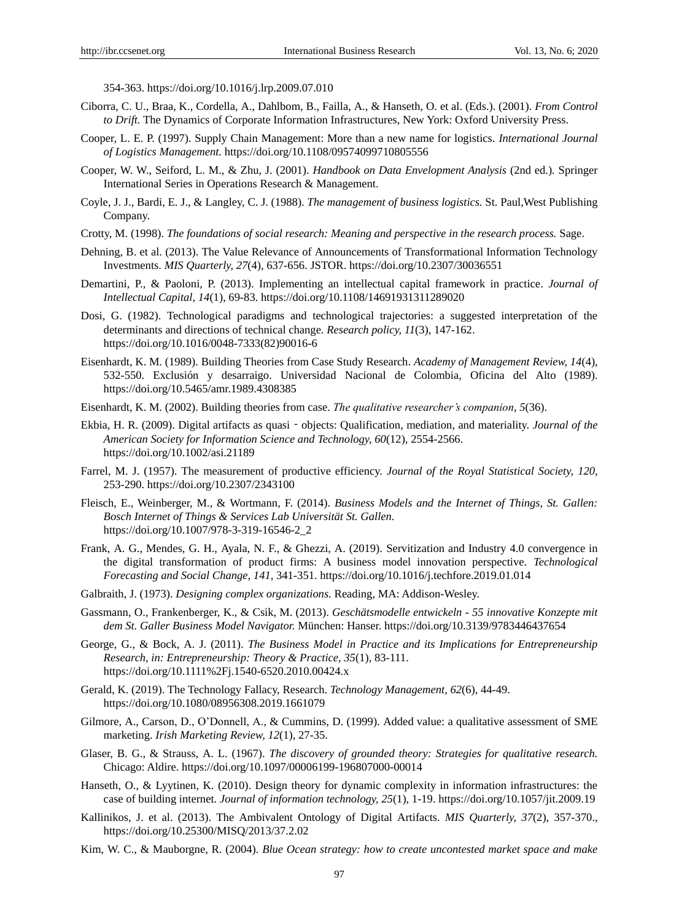354-363.<https://doi.org/10.1016/j.lrp.2009.07.010>

- Ciborra, C. U., Braa, K., Cordella, A., Dahlbom, B., Failla, A., & Hanseth, O. et al. (Eds.). (2001). *From Control to Drift.* The Dynamics of Corporate Information Infrastructures, New York: Oxford University Press.
- Cooper, L. E. P. (1997). Supply Chain Management: More than a new name for logistics. *International Journal of Logistics Management.* <https://doi.org/10.1108/09574099710805556>
- Cooper, W. W., Seiford, L. M., & Zhu, J. (2001). *Handbook on Data Envelopment Analysis* (2nd ed.)*.* Springer International Series in Operations Research & Management.
- Coyle, J. J., Bardi, E. J., & Langley, C. J. (1988). *The management of business logistics.* St. Paul,West Publishing Company.
- Crotty, M. (1998). *The foundations of social research: Meaning and perspective in the research process.* Sage.
- Dehning, B. et al. (2013). The Value Relevance of Announcements of Transformational Information Technology Investments. *MIS Quarterly, 27*(4), 637-656. JSTOR. https://doi.org/10.2307/30036551
- Demartini, P., & Paoloni, P. (2013). Implementing an intellectual capital framework in practice. *Journal of Intellectual Capital, 14*(1), 69-83. https://doi.org/10.1108/14691931311289020
- Dosi, G. (1982). Technological paradigms and technological trajectories: a suggested interpretation of the determinants and directions of technical change. *Research policy, 11*(3), 147-162. https://doi.org/10.1016/0048-7333(82)90016-6
- Eisenhardt, K. M. (1989). Building Theories from Case Study Research. *Academy of Management Review, 14*(4), 532-550. Exclusión y desarraigo. Universidad Nacional de Colombia, Oficina del Alto (1989). https://doi.org/10.5465/amr.1989.4308385
- Eisenhardt, K. M. (2002). Building theories from case. *The qualitative researcher's companion, 5*(36).
- Ekbia, H. R. (2009). Digital artifacts as quasi‐objects: Qualification, mediation, and materiality. *Journal of the American Society for Information Science and Technology, 60*(12), 2554-2566. <https://doi.org/10.1002/asi.21189>
- Farrel, M. J. (1957). The measurement of productive efficiency. *Journal of the Royal Statistical Society, 120,*  253-290. https://doi.org/10.2307/2343100
- Fleisch, E., Weinberger, M., & Wortmann, F. (2014). *Business Models and the Internet of Things, St. Gallen: Bosch Internet of Things & Services Lab Universität St. Gallen.*  [https://doi.org/10.1007/978-3-319-16546-2\\_2](https://doi.org/10.1007/978-3-319-16546-2_2)
- Frank, A. G., Mendes, G. H., Ayala, N. F., & Ghezzi, A. (2019). Servitization and Industry 4.0 convergence in the digital transformation of product firms: A business model innovation perspective. *Technological Forecasting and Social Change, 141,* 341-351.<https://doi.org/10.1016/j.techfore.2019.01.014>
- Galbraith, J. (1973). *Designing complex organizations.* Reading, MA: Addison-Wesley.
- Gassmann, O., Frankenberger, K., & Csik, M. (2013). *Geschätsmodelle entwickeln - 55 innovative Konzepte mit dem St. Galler Business Model Navigator.* München: Hanser. https://doi.org/10.3139/9783446437654
- George, G., & Bock, A. J. (2011). *The Business Model in Practice and its Implications for Entrepreneurship Research, in: Entrepreneurship: Theory & Practice, 35*(1), 83-111. <https://doi.org/10.1111%2Fj.1540-6520.2010.00424.x>
- Gerald, K. (2019). The Technology Fallacy, Research. *Technology Management, 62*(6), 44-49. https://doi.org/10.1080/08956308.2019.1661079
- Gilmore, A., Carson, D., O'Donnell, A., & Cummins, D. (1999). Added value: a qualitative assessment of SME marketing. *Irish Marketing Review, 12*(1), 27-35.
- Glaser, B. G., & Strauss, A. L. (1967). *The discovery of grounded theory: Strategies for qualitative research.*  Chicago: Aldire. https://doi.org/10.1097/00006199-196807000-00014
- Hanseth, O., & Lyytinen, K. (2010). Design theory for dynamic complexity in information infrastructures: the case of building internet. *Journal of information technology, 25*(1), 1-19[. https://doi.org/10.1057/jit.2009.19](https://doi.org/10.1057/jit.2009.19)
- Kallinikos, J. et al. (2013). The Ambivalent Ontology of Digital Artifacts. *MIS Quarterly, 37*(2), 357-370., https://doi.org/10.25300/MISQ/2013/37.2.02
- Kim, W. C., & Mauborgne, R. (2004). *Blue Ocean strategy: how to create uncontested market space and make*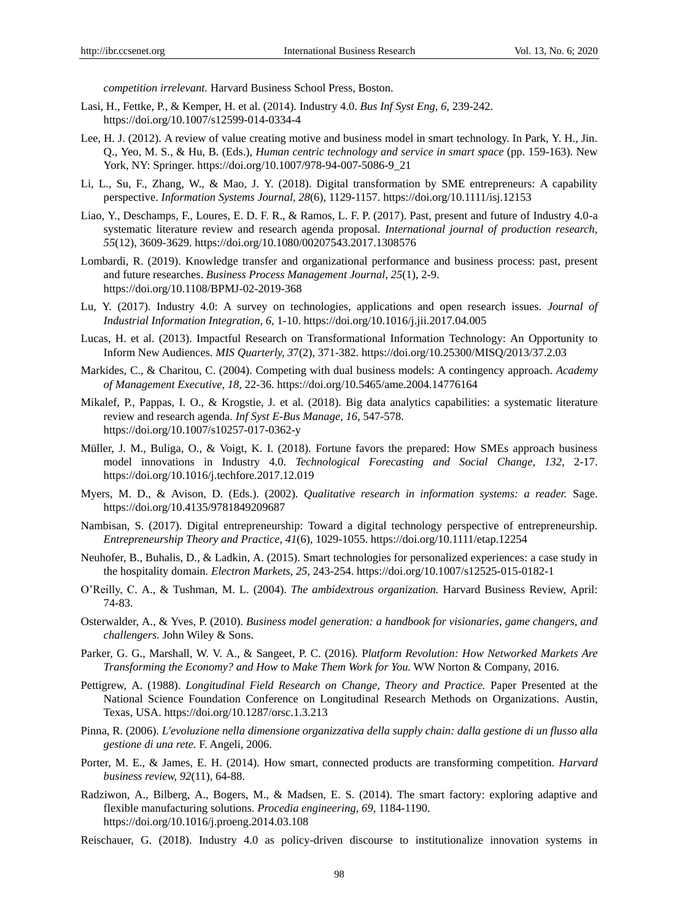*competition irrelevant.* Harvard Business School Press, Boston.

- Lasi, H., Fettke, P., & Kemper, H. et al. (2014). Industry 4.0. *Bus Inf Syst Eng, 6,* 239-242. <https://doi.org/10.1007/s12599-014-0334-4>
- Lee, H. J. (2012). A review of value creating motive and business model in smart technology. In Park, Y. H., Jin. Q., Yeo, M. S., & Hu, B. (Eds.), *Human centric technology and service in smart space* (pp. 159-163). New York, NY: Springer. https://doi.org/10.1007/978-94-007-5086-9\_21
- Li, L., Su, F., Zhang, W., & Mao, J. Y. (2018). Digital transformation by SME entrepreneurs: A capability perspective. *Information Systems Journal, 28*(6), 1129-1157.<https://doi.org/10.1111/isj.12153>
- Liao, Y., Deschamps, F., Loures, E. D. F. R., & Ramos, L. F. P. (2017). Past, present and future of Industry 4.0-a systematic literature review and research agenda proposal. *International journal of production research, 55*(12), 3609-3629.<https://doi.org/10.1080/00207543.2017.1308576>
- Lombardi, R. (2019). Knowledge transfer and organizational performance and business process: past, present and future researches. *Business Process Management Journal, 25*(1), 2-9. <https://doi.org/10.1108/BPMJ-02-2019-368>
- Lu, Y. (2017). Industry 4.0: A survey on technologies, applications and open research issues. *Journal of Industrial Information Integration, 6,* 1-10[. https://doi.org/10.1016/j.jii.2017.04.005](https://doi.org/10.1016/j.jii.2017.04.005)
- Lucas, H. et al. (2013). Impactful Research on Transformational Information Technology: An Opportunity to Inform New Audiences. *MIS Quarterly, 3*7(2), 371-382. https://doi.org/10.25300/MISQ/2013/37.2.03
- Markides, C., & Charitou, C. (2004). Competing with dual business models: A contingency approach. *Academy of Management Executive, 18,* 22-36.<https://doi.org/10.5465/ame.2004.14776164>
- Mikalef, P., Pappas, I. O., & Krogstie, J. et al. (2018). Big data analytics capabilities: a systematic literature review and research agenda. *Inf Syst E-Bus Manage, 16,* 547-578. <https://doi.org/10.1007/s10257-017-0362-y>
- Müller, J. M., Buliga, O., & Voigt, K. I. (2018). Fortune favors the prepared: How SMEs approach business model innovations in Industry 4.0. *Technological Forecasting and Social Change, 132,* 2-17. <https://doi.org/10.1016/j.techfore.2017.12.019>
- Myers, M. D., & Avison, D. (Eds.). (2002). *Qualitative research in information systems: a reader.* Sage. https://doi.org/10.4135/9781849209687
- Nambisan, S. (2017). Digital entrepreneurship: Toward a digital technology perspective of entrepreneurship. *Entrepreneurship Theory and Practice, 41*(6), 1029-1055.<https://doi.org/10.1111/etap.12254>
- Neuhofer, B., Buhalis, D., & Ladkin, A. (2015). Smart technologies for personalized experiences: a case study in the hospitality domain*. Electron Markets, 25,* 243-254.<https://doi.org/10.1007/s12525-015-0182-1>
- O'Reilly, C. A., & Tushman, M. L. (2004). *The ambidextrous organization.* Harvard Business Review, April: 74-83.
- Osterwalder, A., & Yves, P. (2010). *Business model generation: a handbook for visionaries, game changers, and challengers.* John Wiley & Sons.
- Parker, G. G., Marshall, W. V. A., & Sangeet, P. C. (2016). P*latform Revolution: How Networked Markets Are Transforming the Economy? and How to Make Them Work for You.* WW Norton & Company, 2016.
- Pettigrew, A. (1988). *Longitudinal Field Research on Change, Theory and Practice.* Paper Presented at the National Science Foundation Conference on Longitudinal Research Methods on Organizations. Austin, Texas, USA.<https://doi.org/10.1287/orsc.1.3.213>
- Pinna, R. (2006). *L'evoluzione nella dimensione organizzativa della supply chain: dalla gestione di un flusso alla gestione di una rete.* F. Angeli, 2006.
- Porter, M. E., & James, E. H. (2014). How smart, connected products are transforming competition. *Harvard business review, 92*(11), 64-88.
- Radziwon, A., Bilberg, A., Bogers, M., & Madsen, E. S. (2014). The smart factory: exploring adaptive and flexible manufacturing solutions. *Procedia engineering, 69,* 1184-1190. <https://doi.org/10.1016/j.proeng.2014.03.108>
- Reischauer, G. (2018). Industry 4.0 as policy-driven discourse to institutionalize innovation systems in